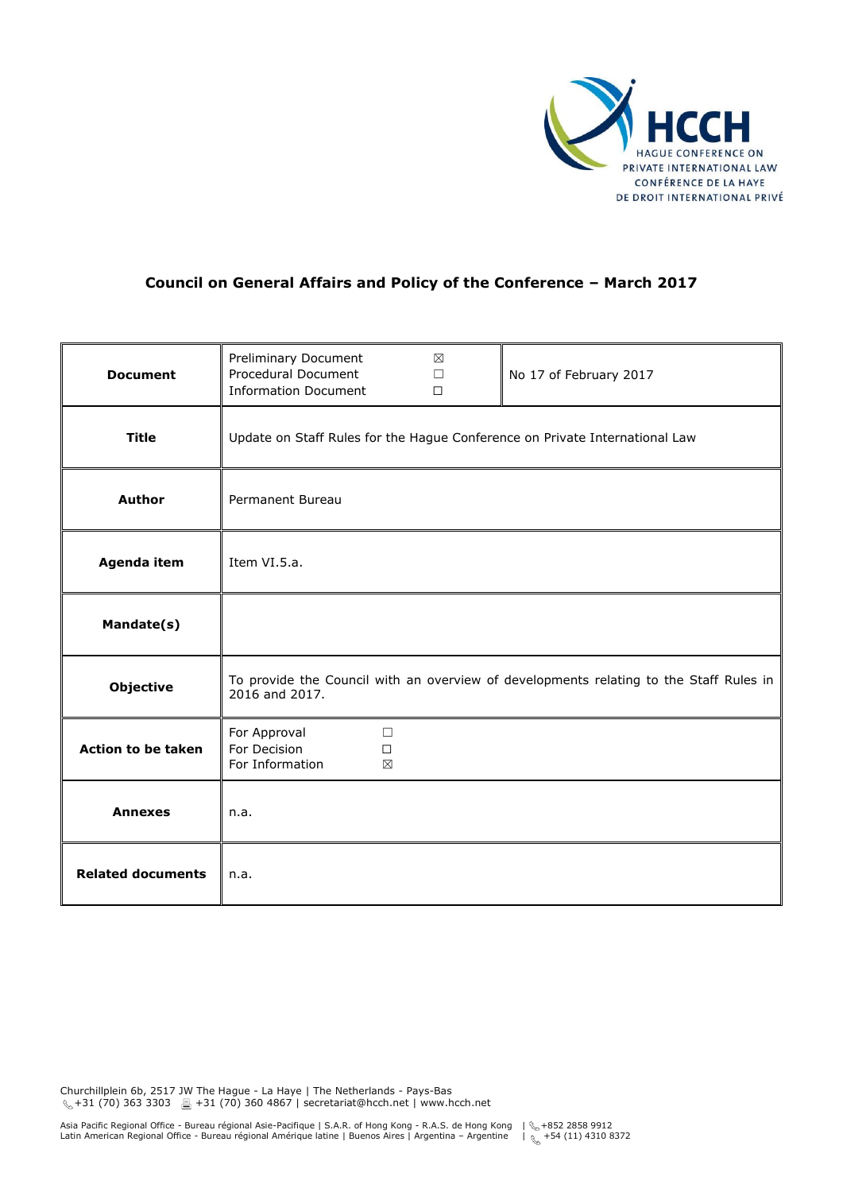

## **Council on General Affairs and Policy of the Conference – March 2017**

| <b>Document</b>           | Preliminary Document<br>Procedural Document<br><b>Information Document</b>                               | $\boxtimes$<br>$\Box$<br>$\Box$ | No 17 of February 2017 |
|---------------------------|----------------------------------------------------------------------------------------------------------|---------------------------------|------------------------|
| <b>Title</b>              | Update on Staff Rules for the Hague Conference on Private International Law                              |                                 |                        |
| <b>Author</b>             | Permanent Bureau                                                                                         |                                 |                        |
| Agenda item               | Item VI.5.a.                                                                                             |                                 |                        |
| Mandate(s)                |                                                                                                          |                                 |                        |
| <b>Objective</b>          | To provide the Council with an overview of developments relating to the Staff Rules in<br>2016 and 2017. |                                 |                        |
| <b>Action to be taken</b> | For Approval<br>$\Box$<br>For Decision<br>$\Box$<br>For Information<br>⊠                                 |                                 |                        |
| <b>Annexes</b>            | n.a.                                                                                                     |                                 |                        |
| <b>Related documents</b>  | n.a.                                                                                                     |                                 |                        |

Churchillplein 6b, 2517 JW The Hague - La Haye | The Netherlands - Pays-Bas  $\mathcal{L}_+$  +31 (70) 363 3303 ■ +31 (70) 360 4867 | secretariat@hcch.net | www.hcch.net